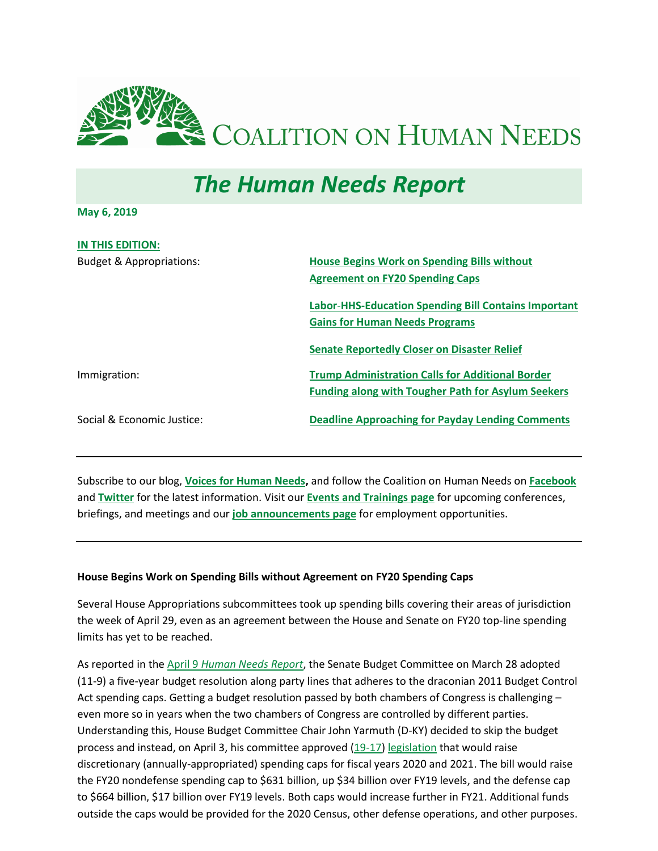<span id="page-0-1"></span>

# *The Human Needs Report*

**May 6, 2019**

| <b>IN THIS EDITION:</b>             |                                                             |
|-------------------------------------|-------------------------------------------------------------|
| <b>Budget &amp; Appropriations:</b> | <b>House Begins Work on Spending Bills without</b>          |
|                                     | <b>Agreement on FY20 Spending Caps</b>                      |
|                                     | <b>Labor-HHS-Education Spending Bill Contains Important</b> |
|                                     | <b>Gains for Human Needs Programs</b>                       |
|                                     | <b>Senate Reportedly Closer on Disaster Relief</b>          |
| Immigration:                        | <b>Trump Administration Calls for Additional Border</b>     |
|                                     | <b>Funding along with Tougher Path for Asylum Seekers</b>   |
| Social & Economic Justice:          | <b>Deadline Approaching for Payday Lending Comments</b>     |
|                                     |                                                             |

Subscribe to our blog, **[Voices for Human Needs,](https://www.chn.org/voices-for-human-needs/)** and follow the Coalition on Human Needs on **[Facebook](https://www.facebook.com/pages/Coalition-on-Human-Needs/144519585571873)** and **[Twitter](https://twitter.com/CoalitionHN)** for the latest information. Visit our **[Events and Trainings page](https://www.chn.org/trainings/)** for upcoming conferences, briefings, and meetings and our **[job announcements page](https://www.chn.org/jobs-internships/)** for employment opportunities.

#### <span id="page-0-0"></span>**House Begins Work on Spending Bills without Agreement on FY20 Spending Caps**

Several House Appropriations subcommittees took up spending bills covering their areas of jurisdiction the week of April 29, even as an agreement between the House and Senate on FY20 top-line spending limits has yet to be reached.

As reported in the April 9 *[Human Needs Report](https://www.chn.org/editions/april-9-2019/)*, the Senate Budget Committee on March 28 adopted (11-9) a five-year budget resolution along party lines that adheres to the draconian 2011 Budget Control Act spending caps. Getting a budget resolution passed by both chambers of Congress is challenging – even more so in years when the two chambers of Congress are controlled by different parties. Understanding this, House Budget Committee Chair John Yarmuth (D-KY) decided to skip the budget process and instead, on April 3, his committee approved [\(19-17\)](https://budget.house.gov/sites/democrats.budget.house.gov/files/documents/HR2021%20Final%20passage%20vote%20tally.pdf) [legislation](https://budget.house.gov/issues/fy20-democratic-budget-investing-people-act) that would raise discretionary (annually-appropriated) spending caps for fiscal years 2020 and 2021. The bill would raise the FY20 nondefense spending cap to \$631 billion, up \$34 billion over FY19 levels, and the defense cap to \$664 billion, \$17 billion over FY19 levels. Both caps would increase further in FY21. Additional funds outside the caps would be provided for the 2020 Census, other defense operations, and other purposes.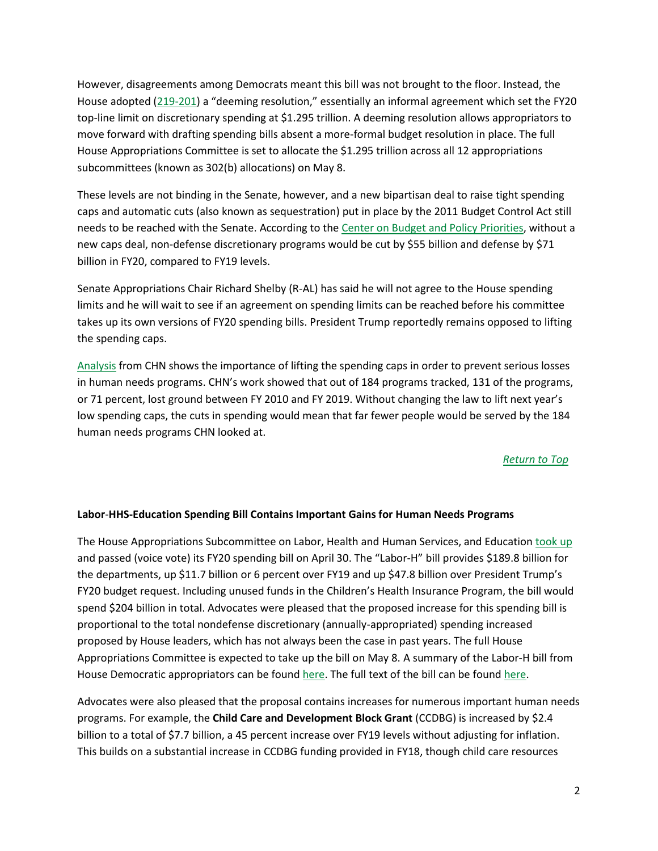However, disagreements among Democrats meant this bill was not brought to the floor. Instead, the House adopted [\(219-201\)](http://clerk.house.gov/evs/2019/roll161.xml) a "deeming resolution," essentially an informal agreement which set the FY20 top-line limit on discretionary spending at \$1.295 trillion. A deeming resolution allows appropriators to move forward with drafting spending bills absent a more-formal budget resolution in place. The full House Appropriations Committee is set to allocate the \$1.295 trillion across all 12 appropriations subcommittees (known as 302(b) allocations) on May 8.

These levels are not binding in the Senate, however, and a new bipartisan deal to raise tight spending caps and automatic cuts (also known as sequestration) put in place by the 2011 Budget Control Act still needs to be reached with the Senate. According to the [Center on Budget and Policy](https://www.cbpp.org/research/federal-budget/house-budget-committee-proposal-would-avoid-steep-cuts-and-provide-resources) Priorities, without a new caps deal, non-defense discretionary programs would be cut by \$55 billion and defense by \$71 billion in FY20, compared to FY19 levels.

Senate Appropriations Chair Richard Shelby (R-AL) has said he will not agree to the House spending limits and he will wait to see if an agreement on spending limits can be reached before his committee takes up its own versions of FY20 spending bills. President Trump reportedly remains opposed to lifting the spending caps.

[Analysis](https://www.chn.org/wp-content/uploads/2019/03/Official-CHN-FY-10-19-Approps-Table.pdf) from CHN shows the importance of lifting the spending caps in order to prevent serious losses in human needs programs. CHN's work showed that out of 184 programs tracked, 131 of the programs, or 71 percent, lost ground between FY 2010 and FY 2019. Without changing the law to lift next year's low spending caps, the cuts in spending would mean that far fewer people would be served by the 184 human needs programs CHN looked at.

#### *[Return to Top](#page-0-1)*

# <span id="page-1-0"></span>**Labor**-**HHS-Education Spending Bill Contains Important Gains for Human Needs Programs**

The House Appropriations Subcommittee on Labor, Health and Human Services, and Education [took up](https://appropriations.house.gov/events/markups/fy2020-labor-health-and-human-services-education-and-related-agencies-subcommittee) and passed (voice vote) its FY20 spending bill on April 30. The "Labor-H" bill provides \$189.8 billion for the departments, up \$11.7 billion or 6 percent over FY19 and up \$47.8 billion over President Trump's FY20 budget request. Including unused funds in the Children's Health Insurance Program, the bill would spend \$204 billion in total. Advocates were pleased that the proposed increase for this spending bill is proportional to the total nondefense discretionary (annually-appropriated) spending increased proposed by House leaders, which has not always been the case in past years. The full House Appropriations Committee is expected to take up the bill on May 8. A summary of the Labor-H bill from House Democratic appropriators can be found [here.](https://appropriations.house.gov/news/press-releases/appropriations-committee-releases-fiscal-year-2020-labor-hhs-education-funding) The full text of the bill can be found [here.](https://appropriations.house.gov/sites/democrats.appropriations.house.gov/files/FY2020%20LHHS%20Sub%20Markup%20Draft.pdf)

Advocates were also pleased that the proposal contains increases for numerous important human needs programs. For example, the **Child Care and Development Block Grant** (CCDBG) is increased by \$2.4 billion to a total of \$7.7 billion, a 45 percent increase over FY19 levels without adjusting for inflation. This builds on a substantial increase in CCDBG funding provided in FY18, though child care resources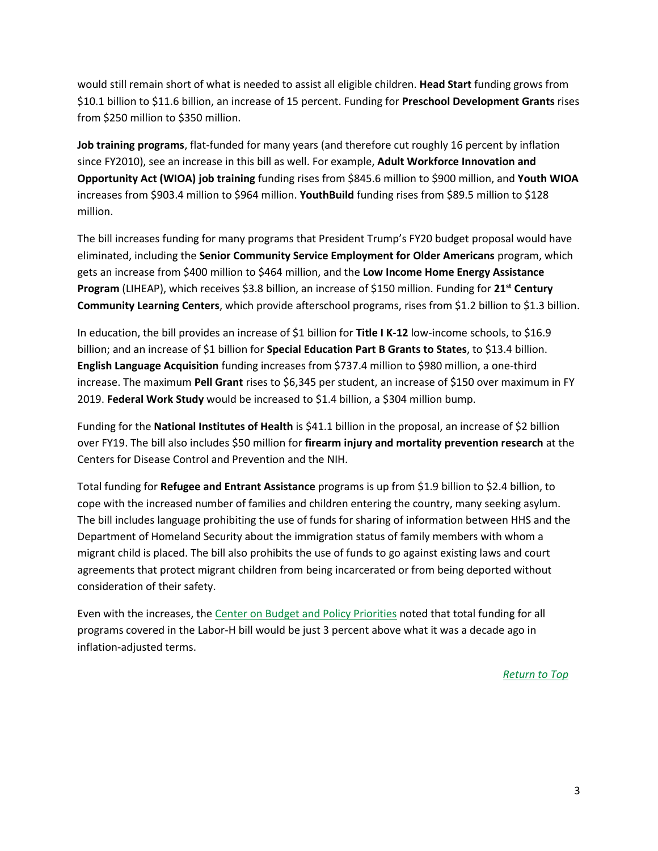would still remain short of what is needed to assist all eligible children. **Head Start** funding grows from \$10.1 billion to \$11.6 billion, an increase of 15 percent. Funding for **Preschool Development Grants** rises from \$250 million to \$350 million.

**Job training programs**, flat-funded for many years (and therefore cut roughly 16 percent by inflation since FY2010), see an increase in this bill as well. For example, **Adult Workforce Innovation and Opportunity Act (WIOA) job training** funding rises from \$845.6 million to \$900 million, and **Youth WIOA** increases from \$903.4 million to \$964 million. **YouthBuild** funding rises from \$89.5 million to \$128 million.

The bill increases funding for many programs that President Trump's FY20 budget proposal would have eliminated, including the **Senior Community Service Employment for Older Americans** program, which gets an increase from \$400 million to \$464 million, and the **Low Income Home Energy Assistance Program** (LIHEAP), which receives \$3.8 billion, an increase of \$150 million. Funding for **21st Century Community Learning Centers**, which provide afterschool programs, rises from \$1.2 billion to \$1.3 billion.

In education, the bill provides an increase of \$1 billion for **Title I K-12** low-income schools, to \$16.9 billion; and an increase of \$1 billion for **Special Education Part B Grants to States**, to \$13.4 billion. **English Language Acquisition** funding increases from \$737.4 million to \$980 million, a one-third increase. The maximum **Pell Grant** rises to \$6,345 per student, an increase of \$150 over maximum in FY 2019. **Federal Work Study** would be increased to \$1.4 billion, a \$304 million bump.

Funding for the **National Institutes of Health** is \$41.1 billion in the proposal, an increase of \$2 billion over FY19. The bill also includes \$50 million for **firearm injury and mortality prevention research** at the Centers for Disease Control and Prevention and the NIH.

Total funding for **Refugee and Entrant Assistance** programs is up from \$1.9 billion to \$2.4 billion, to cope with the increased number of families and children entering the country, many seeking asylum. The bill includes language prohibiting the use of funds for sharing of information between HHS and the Department of Homeland Security about the immigration status of family members with whom a migrant child is placed. The bill also prohibits the use of funds to go against existing laws and court agreements that protect migrant children from being incarcerated or from being deported without consideration of their safety.

Even with the increases, the [Center on Budget and Policy Priorities](https://www.cbpp.org/blog/house-labor-education-hhs-funding-bill-a-welcome-break-from-years-of-disinvestment) noted that total funding for all programs covered in the Labor-H bill would be just 3 percent above what it was a decade ago in inflation-adjusted terms.

*[Return to Top](#page-0-1)*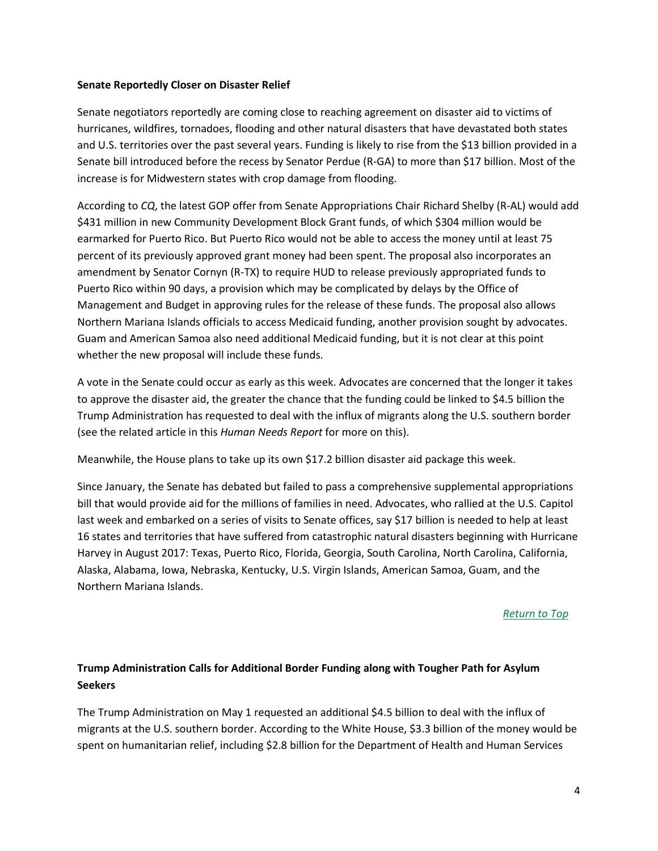#### <span id="page-3-0"></span>**Senate Reportedly Closer on Disaster Relief**

Senate negotiators reportedly are coming close to reaching agreement on disaster aid to victims of hurricanes, wildfires, tornadoes, flooding and other natural disasters that have devastated both states and U.S. territories over the past several years. Funding is likely to rise from the \$13 billion provided in a Senate bill introduced before the recess by Senator Perdue (R-GA) to more than \$17 billion. Most of the increase is for Midwestern states with crop damage from flooding.

According to *CQ*, the latest GOP offer from Senate Appropriations Chair Richard Shelby (R-AL) would add \$431 million in new Community Development Block Grant funds, of which \$304 million would be earmarked for Puerto Rico. But Puerto Rico would not be able to access the money until at least 75 percent of its previously approved grant money had been spent. The proposal also incorporates an amendment by Senator Cornyn (R-TX) to require HUD to release previously appropriated funds to Puerto Rico within 90 days, a provision which may be complicated by delays by the Office of Management and Budget in approving rules for the release of these funds. The proposal also allows Northern Mariana Islands officials to access Medicaid funding, another provision sought by advocates. Guam and American Samoa also need additional Medicaid funding, but it is not clear at this point whether the new proposal will include these funds.

A vote in the Senate could occur as early as this week. Advocates are concerned that the longer it takes to approve the disaster aid, the greater the chance that the funding could be linked to \$4.5 billion the Trump Administration has requested to deal with the influx of migrants along the U.S. southern border (see the related article in this *Human Needs Report* for more on this).

Meanwhile, the House plans to take up its own \$17.2 billion disaster aid package this week.

Since January, the Senate has debated but failed to pass a comprehensive supplemental appropriations bill that would provide aid for the millions of families in need. Advocates, who rallied at the U.S. Capitol last week and embarked on a series of visits to Senate offices, say \$17 billion is needed to help at least 16 states and territories that have suffered from catastrophic natural disasters beginning with Hurricane Harvey in August 2017: Texas, Puerto Rico, Florida, Georgia, South Carolina, North Carolina, California, Alaska, Alabama, Iowa, Nebraska, Kentucky, U.S. Virgin Islands, American Samoa, Guam, and the Northern Mariana Islands.

# *[Return to Top](#page-0-1)*

# <span id="page-3-1"></span>**Trump Administration Calls for Additional Border Funding along with Tougher Path for Asylum Seekers**

The Trump Administration on May 1 requested an additional \$4.5 billion to deal with the influx of migrants at the U.S. southern border. According to the White House, \$3.3 billion of the money would be spent on humanitarian relief, including \$2.8 billion for the Department of Health and Human Services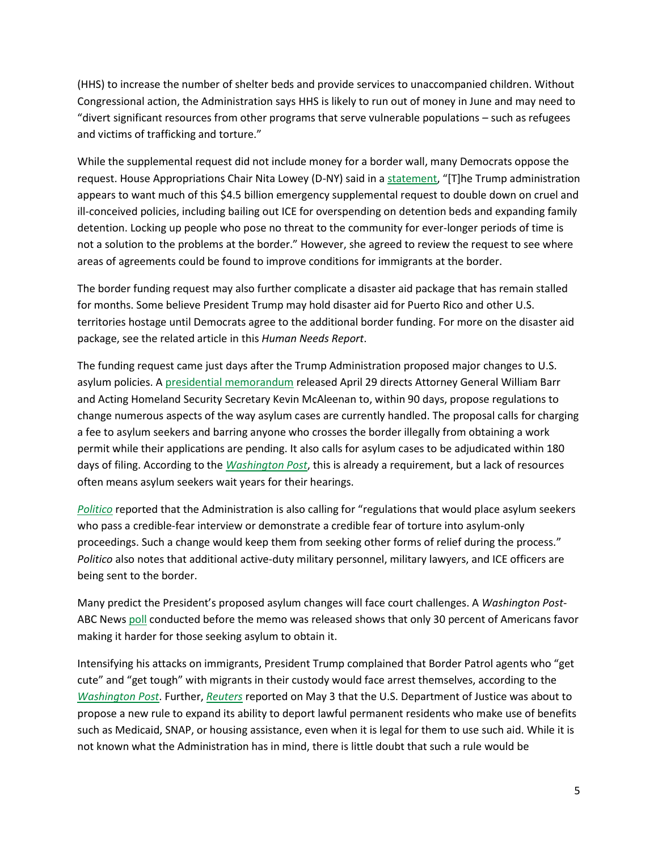(HHS) to increase the number of shelter beds and provide services to unaccompanied children. Without Congressional action, the Administration says HHS is likely to run out of money in June and may need to "divert significant resources from other programs that serve vulnerable populations – such as refugees and victims of trafficking and torture."

While the supplemental request did not include money for a border wall, many Democrats oppose the request. House Appropriations Chair Nita Lowey (D-NY) said in [a statement](https://appropriations.house.gov/news/press-releases/lowey-statement-on-administration-s-request-for-additional-border-funding), "[T]he Trump administration appears to want much of this \$4.5 billion emergency supplemental request to double down on cruel and ill-conceived policies, including bailing out ICE for overspending on detention beds and expanding family detention. Locking up people who pose no threat to the community for ever-longer periods of time is not a solution to the problems at the border." However, she agreed to review the request to see where areas of agreements could be found to improve conditions for immigrants at the border.

The border funding request may also further complicate a disaster aid package that has remain stalled for months. Some believe President Trump may hold disaster aid for Puerto Rico and other U.S. territories hostage until Democrats agree to the additional border funding. For more on the disaster aid package, see the related article in this *Human Needs Report*.

The funding request came just days after the Trump Administration proposed major changes to U.S. asylum policies. A [presidential memorandum](https://www.whitehouse.gov/presidential-actions/presidential-memorandum-additional-measures-enhance-border-security-restore-integrity-immigration-system/) released April 29 directs Attorney General William Barr and Acting Homeland Security Secretary Kevin McAleenan to, within 90 days, propose regulations to change numerous aspects of the way asylum cases are currently handled. The proposal calls for charging a fee to asylum seekers and barring anyone who crosses the border illegally from obtaining a work permit while their applications are pending. It also calls for asylum cases to be adjudicated within 180 days of filing. According to the *[Washington Post](https://www.washingtonpost.com/politics/trump-issues-memo-calling-for-changes-to-handling-of-asylum-cases/2019/04/29/df41b5f2-6adb-11e9-be3a-33217240a539_story.html?utm_term=.84446e6f65cb)*, this is already a requirement, but a lack of resources often means asylum seekers wait years for their hearings.

*[Politico](https://www.politico.com/story/2019/04/29/troops-mexico-border-pentagon-1292502)* reported that the Administration is also calling for "regulations that would place asylum seekers who pass a credible-fear interview or demonstrate a credible fear of torture into asylum-only proceedings. Such a change would keep them from seeking other forms of relief during the process." *Politico* also notes that additional active-duty military personnel, military lawyers, and ICE officers are being sent to the border.

Many predict the President's proposed asylum changes will face court challenges. A *Washington Post*ABC News [poll](https://www.washingtonpost.com/politics/2019/04/30/trumps-asylum-changes-are-even-less-desired-than-his-border-wall/?utm_term=.efa2948ee5fb) conducted before the memo was released shows that only 30 percent of Americans favor making it harder for those seeking asylum to obtain it.

Intensifying his attacks on immigrants, President Trump complained that Border Patrol agents who "get cute" and "get tough" with migrants in their custody would face arrest themselves, according to the *[Washington Post](https://www.washingtonpost.com/immigration/trump-wants-toughness-to-deter-migration-but-physical-measures-keep-failing/2019/05/04/a14495a2-6d16-11e9-8f44-e8d8bb1df986_story.html?utm_term=.9cb806032b43)*. Further, *[Reuters](https://www.reuters.com/article/us-usa-immigration-benefits-exclusive/exclusive-trump-administration-proposal-would-make-it-easier-to-deport-immigrants-who-use-public-benefits-idUSKCN1S91UR?il=0)* reported on May 3 that the U.S. Department of Justice was about to propose a new rule to expand its ability to deport lawful permanent residents who make use of benefits such as Medicaid, SNAP, or housing assistance, even when it is legal for them to use such aid. While it is not known what the Administration has in mind, there is little doubt that such a rule would be